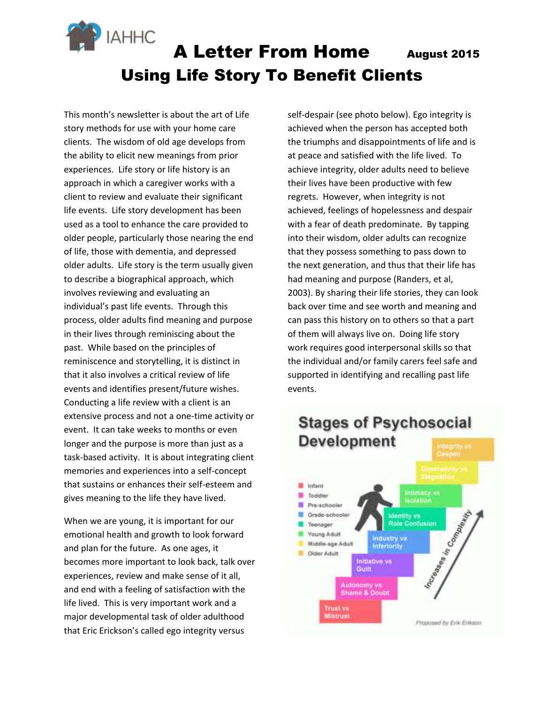

This month's newsletter is about the art of Life story methods for use with your home care clients. The wisdom of old age develops from the ability to elicit new meanings from prior experiences. Life story or life history is an approach in which a caregiver works with a client to review and evaluate their significant life events. Life story development has been used as a tool to enhance the care provided to older people, particularly those nearing the end of life, those with dementia, and depressed older adults. Life story is the term usually given to describe a biographical approach, which involves reviewing and evaluating an individual's past life events. Through this process, older adults find meaning and purpose in their lives through reminiscing about the past. While based on the principles of reminiscence and storytelling, it is distinct in that it also involves a critical review of life events and identifies present/future wishes. Conducting a life review with a client is an extensive process and not a one-time activity or event. It can take weeks to months or even longer and the purpose is more than just as a task-based activity. It is about integrating client memories and experiences into a self-concept that sustains or enhances their self-esteem and gives meaning to the life they have lived.

When we are young, it is important for our emotional health and growth to look forward and plan for the future. As one ages, it becomes more important to look back, talk over experiences, review and make sense of it all, and end with a feeling of satisfaction with the life lived. This is very important work and a major developmental task of older adulthood that Eric Erickson's called ego integrity versus

self-despair (see photo below). Ego integrity is achieved when the person has accepted both the triumphs and disappointments of life and is at peace and satisfied with the life lived. To achieve integrity, older adults need to believe their lives have been productive with few regrets. However, when integrity is not achieved, feelings of hopelessness and despair with a fear of death predominate. By tapping into their wisdom, older adults can recognize that they possess something to pass down to the next generation, and thus that their life has had meaning and purpose (Randers, et al, 2003). By sharing their life stories, they can look back over time and see worth and meaning and can pass this history on to others so that a part of them will always live on. Doing life story work requires good interpersonal skills so that the individual and/or family carers feel safe and supported in identifying and recalling past life events.



# **Stages of Psychosocial**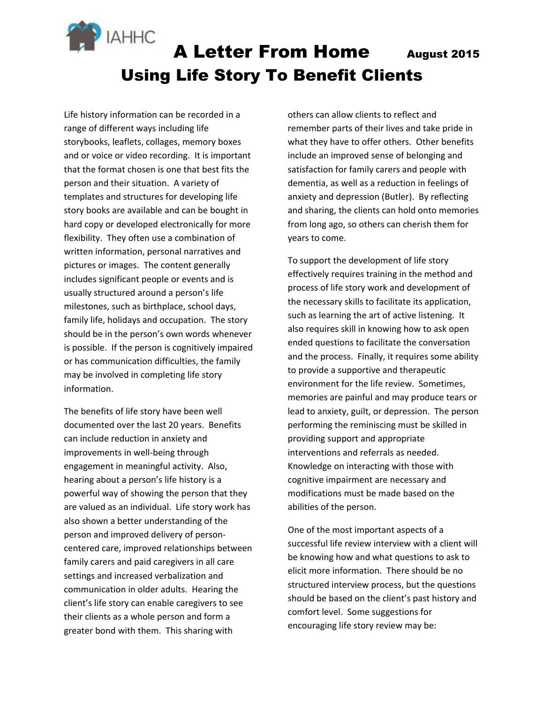

Life history information can be recorded in a range of different ways including life storybooks, leaflets, collages, memory boxes and or voice or video recording. It is important that the format chosen is one that best fits the person and their situation. A variety of templates and structures for developing life story books are available and can be bought in hard copy or developed electronically for more flexibility. They often use a combination of written information, personal narratives and pictures or images. The content generally includes significant people or events and is usually structured around a person's life milestones, such as birthplace, school days, family life, holidays and occupation. The story should be in the person's own words whenever is possible. If the person is cognitively impaired or has communication difficulties, the family may be involved in completing life story information.

The benefits of life story have been well documented over the last 20 years. Benefits can include reduction in anxiety and improvements in well-being through engagement in meaningful activity. Also, hearing about a person's life history is a powerful way of showing the person that they are valued as an individual. Life story work has also shown a better understanding of the person and improved delivery of personcentered care, improved relationships between family carers and paid caregivers in all care settings and increased verbalization and communication in older adults. Hearing the client's life story can enable caregivers to see their clients as a whole person and form a greater bond with them. This sharing with

others can allow clients to reflect and remember parts of their lives and take pride in what they have to offer others. Other benefits include an improved sense of belonging and satisfaction for family carers and people with dementia, as well as a reduction in feelings of anxiety and depression (Butler). By reflecting and sharing, the clients can hold onto memories from long ago, so others can cherish them for years to come.

To support the development of life story effectively requires training in the method and process of life story work and development of the necessary skills to facilitate its application, such as learning the art of active listening. It also requires skill in knowing how to ask open ended questions to facilitate the conversation and the process. Finally, it requires some ability to provide a supportive and therapeutic environment for the life review. Sometimes, memories are painful and may produce tears or lead to anxiety, guilt, or depression. The person performing the reminiscing must be skilled in providing support and appropriate interventions and referrals as needed. Knowledge on interacting with those with cognitive impairment are necessary and modifications must be made based on the abilities of the person.

One of the most important aspects of a successful life review interview with a client will be knowing how and what questions to ask to elicit more information. There should be no structured interview process, but the questions should be based on the client's past history and comfort level. Some suggestions for encouraging life story review may be: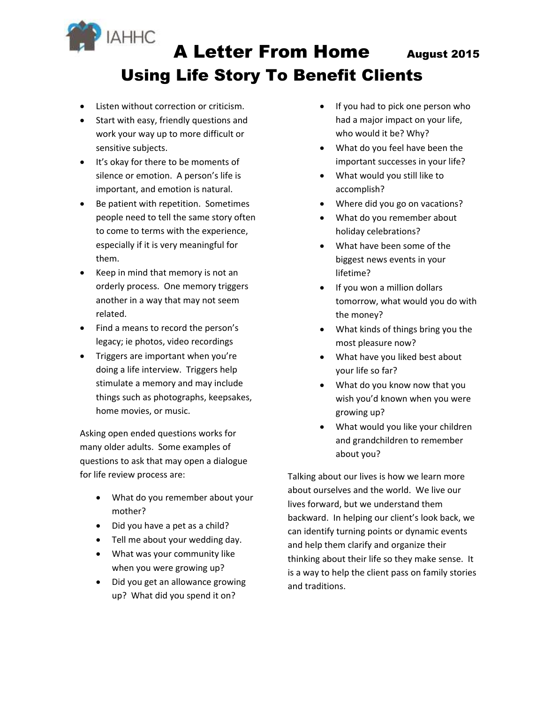

- Listen without correction or criticism.
- Start with easy, friendly questions and work your way up to more difficult or sensitive subjects.
- It's okay for there to be moments of silence or emotion. A person's life is important, and emotion is natural.
- Be patient with repetition. Sometimes people need to tell the same story often to come to terms with the experience, especially if it is very meaningful for them.
- Keep in mind that memory is not an orderly process. One memory triggers another in a way that may not seem related.
- Find a means to record the person's legacy; ie photos, video recordings
- Triggers are important when you're doing a life interview. Triggers help stimulate a memory and may include things such as photographs, keepsakes, home movies, or music.

Asking open ended questions works for many older adults. Some examples of questions to ask that may open a dialogue for life review process are:

- What do you remember about your mother?
- Did you have a pet as a child?
- Tell me about your wedding day.
- What was your community like when you were growing up?
- Did you get an allowance growing up? What did you spend it on?
- If you had to pick one person who had a major impact on your life, who would it be? Why?
- What do you feel have been the important successes in your life?
- What would you still like to accomplish?
- Where did you go on vacations?
- What do you remember about holiday celebrations?
- What have been some of the biggest news events in your lifetime?
- If you won a million dollars tomorrow, what would you do with the money?
- What kinds of things bring you the most pleasure now?
- What have you liked best about your life so far?
- What do you know now that you wish you'd known when you were growing up?
- What would you like your children and grandchildren to remember about you?

Talking about our lives is how we learn more about ourselves and the world. We live our lives forward, but we understand them backward. In helping our client's look back, we can identify turning points or dynamic events and help them clarify and organize their thinking about their life so they make sense. It is a way to help the client pass on family stories and traditions.